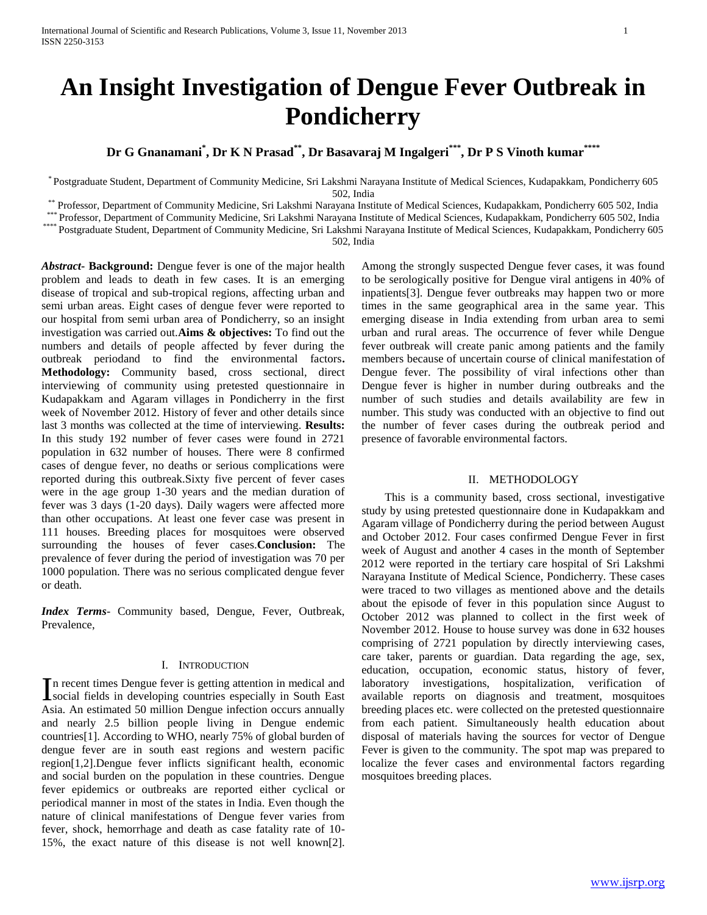# **An Insight Investigation of Dengue Fever Outbreak in Pondicherry**

## **Dr G Gnanamani\* , Dr K N Prasad\*\*, Dr Basavaraj M Ingalgeri\*\*\* , Dr P S Vinoth kumar\*\*\*\***

\* Postgraduate Student, Department of Community Medicine, Sri Lakshmi Narayana Institute of Medical Sciences, Kudapakkam, Pondicherry 605 502, India

\*\* Professor, Department of Community Medicine, Sri Lakshmi Narayana Institute of Medical Sciences, Kudapakkam, Pondicherry 605 502, India

\*\*\* Professor, Department of Community Medicine, Sri Lakshmi Narayana Institute of Medical Sciences, Kudapakkam, Pondicherry 605 502, India

\*\*\*\*\* Postgraduate Student, Department of Community Medicine, Sri Lakshmi Narayana Institute of Medical Sciences, Kudapakkam, Pondicherry 605

502, India

*Abstract***- Background:** Dengue fever is one of the major health problem and leads to death in few cases. It is an emerging disease of tropical and sub-tropical regions, affecting urban and semi urban areas. Eight cases of dengue fever were reported to our hospital from semi urban area of Pondicherry, so an insight investigation was carried out.**Aims & objectives:** To find out the numbers and details of people affected by fever during the outbreak periodand to find the environmental factors**. Methodology:** Community based, cross sectional, direct interviewing of community using pretested questionnaire in Kudapakkam and Agaram villages in Pondicherry in the first week of November 2012. History of fever and other details since last 3 months was collected at the time of interviewing. **Results:**  In this study 192 number of fever cases were found in 2721 population in 632 number of houses. There were 8 confirmed cases of dengue fever, no deaths or serious complications were reported during this outbreak.Sixty five percent of fever cases were in the age group 1-30 years and the median duration of fever was 3 days (1-20 days). Daily wagers were affected more than other occupations. At least one fever case was present in 111 houses. Breeding places for mosquitoes were observed surrounding the houses of fever cases.**Conclusion:** The prevalence of fever during the period of investigation was 70 per 1000 population. There was no serious complicated dengue fever or death.

*Index Terms*- Community based, Dengue, Fever, Outbreak, Prevalence,

### I. INTRODUCTION

n recent times Dengue fever is getting attention in medical and In recent times Dengue fever is getting attention in medical and<br>social fields in developing countries especially in South East Asia. An estimated 50 million Dengue infection occurs annually and nearly 2.5 billion people living in Dengue endemic countries[1]. According to WHO, nearly 75% of global burden of dengue fever are in south east regions and western pacific region[1,2].Dengue fever inflicts significant health, economic and social burden on the population in these countries. Dengue fever epidemics or outbreaks are reported either cyclical or periodical manner in most of the states in India. Even though the nature of clinical manifestations of Dengue fever varies from fever, shock, hemorrhage and death as case fatality rate of 10- 15%, the exact nature of this disease is not well known[2].

Among the strongly suspected Dengue fever cases, it was found to be serologically positive for Dengue viral antigens in 40% of inpatients[3]. Dengue fever outbreaks may happen two or more times in the same geographical area in the same year. This emerging disease in India extending from urban area to semi urban and rural areas. The occurrence of fever while Dengue fever outbreak will create panic among patients and the family members because of uncertain course of clinical manifestation of Dengue fever. The possibility of viral infections other than Dengue fever is higher in number during outbreaks and the number of such studies and details availability are few in number. This study was conducted with an objective to find out the number of fever cases during the outbreak period and presence of favorable environmental factors.

#### II. METHODOLOGY

 This is a community based, cross sectional, investigative study by using pretested questionnaire done in Kudapakkam and Agaram village of Pondicherry during the period between August and October 2012. Four cases confirmed Dengue Fever in first week of August and another 4 cases in the month of September 2012 were reported in the tertiary care hospital of Sri Lakshmi Narayana Institute of Medical Science, Pondicherry. These cases were traced to two villages as mentioned above and the details about the episode of fever in this population since August to October 2012 was planned to collect in the first week of November 2012. House to house survey was done in 632 houses comprising of 2721 population by directly interviewing cases, care taker, parents or guardian. Data regarding the age, sex, education, occupation, economic status, history of fever, laboratory investigations, hospitalization, verification of available reports on diagnosis and treatment, mosquitoes breeding places etc. were collected on the pretested questionnaire from each patient. Simultaneously health education about disposal of materials having the sources for vector of Dengue Fever is given to the community. The spot map was prepared to localize the fever cases and environmental factors regarding mosquitoes breeding places.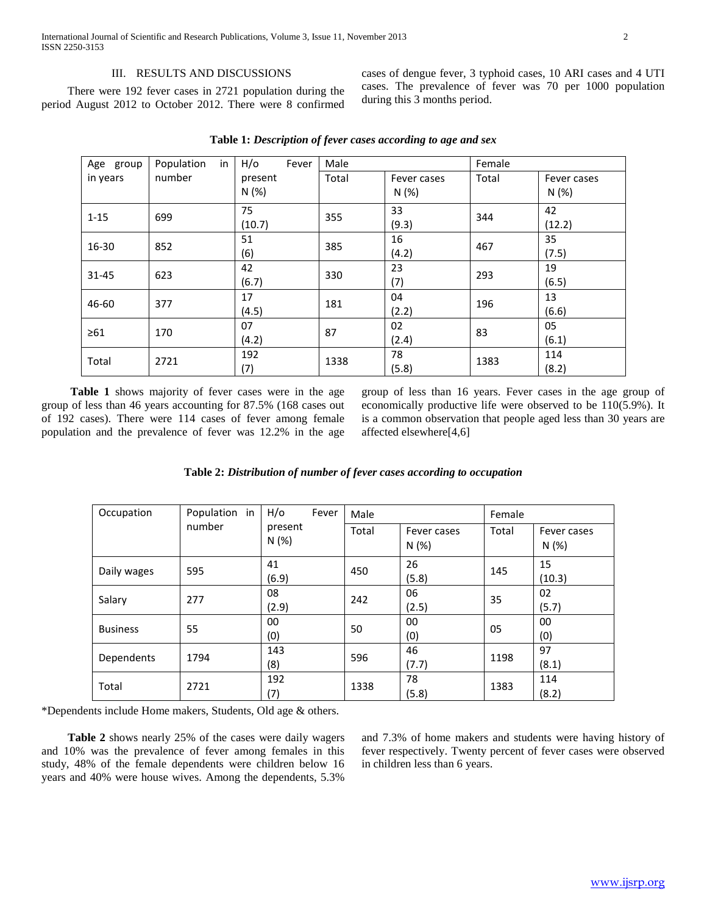#### III. RESULTS AND DISCUSSIONS

 There were 192 fever cases in 2721 population during the period August 2012 to October 2012. There were 8 confirmed cases of dengue fever, 3 typhoid cases, 10 ARI cases and 4 UTI cases. The prevalence of fever was 70 per 1000 population during this 3 months period.

| Age group | Population<br>in | H/o<br>Fever    | Male  |                     | Female |                     |
|-----------|------------------|-----------------|-------|---------------------|--------|---------------------|
| in years  | number           | present<br>N(%) | Total | Fever cases<br>N(%) | Total  | Fever cases<br>N(%) |
| $1 - 15$  | 699              | 75<br>(10.7)    | 355   | 33<br>(9.3)         | 344    | 42<br>(12.2)        |
| 16-30     | 852              | 51<br>(6)       | 385   | 16<br>(4.2)         | 467    | 35<br>(7.5)         |
| 31-45     | 623              | 42<br>(6.7)     | 330   | 23<br>(7)           | 293    | 19<br>(6.5)         |
| 46-60     | 377              | 17<br>(4.5)     | 181   | 04<br>(2.2)         | 196    | 13<br>(6.6)         |
| $\geq 61$ | 170              | 07<br>(4.2)     | 87    | 02<br>(2.4)         | 83     | 05<br>(6.1)         |
| Total     | 2721             | 192<br>(7)      | 1338  | 78<br>(5.8)         | 1383   | 114<br>(8.2)        |

**Table 1:** *Description of fever cases according to age and sex*

 **Table 1** shows majority of fever cases were in the age group of less than 46 years accounting for 87.5% (168 cases out of 192 cases). There were 114 cases of fever among female population and the prevalence of fever was 12.2% in the age group of less than 16 years. Fever cases in the age group of economically productive life were observed to be 110(5.9%). It is a common observation that people aged less than 30 years are affected elsewhere[4,6]

| Table 2: Distribution of number of fever cases according to occupation |  |  |
|------------------------------------------------------------------------|--|--|
|                                                                        |  |  |

| Occupation      | Population in<br>number | H/O<br>Fever     | Male  |                      | Female |                      |  |
|-----------------|-------------------------|------------------|-------|----------------------|--------|----------------------|--|
|                 |                         | present<br>N (%) | Total | Fever cases<br>N (%) | Total  | Fever cases<br>N (%) |  |
| Daily wages     | 595                     | 41               | 450   | 26                   | 145    | 15                   |  |
|                 |                         | (6.9)            |       | (5.8)                |        | (10.3)               |  |
| Salary          | 277                     | 08               | 242   | 06                   | 35     | 02                   |  |
|                 |                         | (2.9)            |       | (2.5)                |        | (5.7)                |  |
| <b>Business</b> | 55                      | 00               | 50    | 00                   | 05     | 00                   |  |
|                 |                         | (0)              |       | (0)                  |        | (0)                  |  |
| Dependents      | 1794                    | 143              | 596   | 46                   |        | 97                   |  |
|                 |                         | (8)              |       | (7.7)                | 1198   | (8.1)                |  |
| Total           | 2721                    | 192              | 1338  | 78                   | 1383   | 114                  |  |
|                 |                         | (7)              |       | (5.8)                |        | (8.2)                |  |

\*Dependents include Home makers, Students, Old age & others.

 **Table 2** shows nearly 25% of the cases were daily wagers and 10% was the prevalence of fever among females in this study, 48% of the female dependents were children below 16 years and 40% were house wives. Among the dependents, 5.3%

and 7.3% of home makers and students were having history of fever respectively. Twenty percent of fever cases were observed in children less than 6 years.